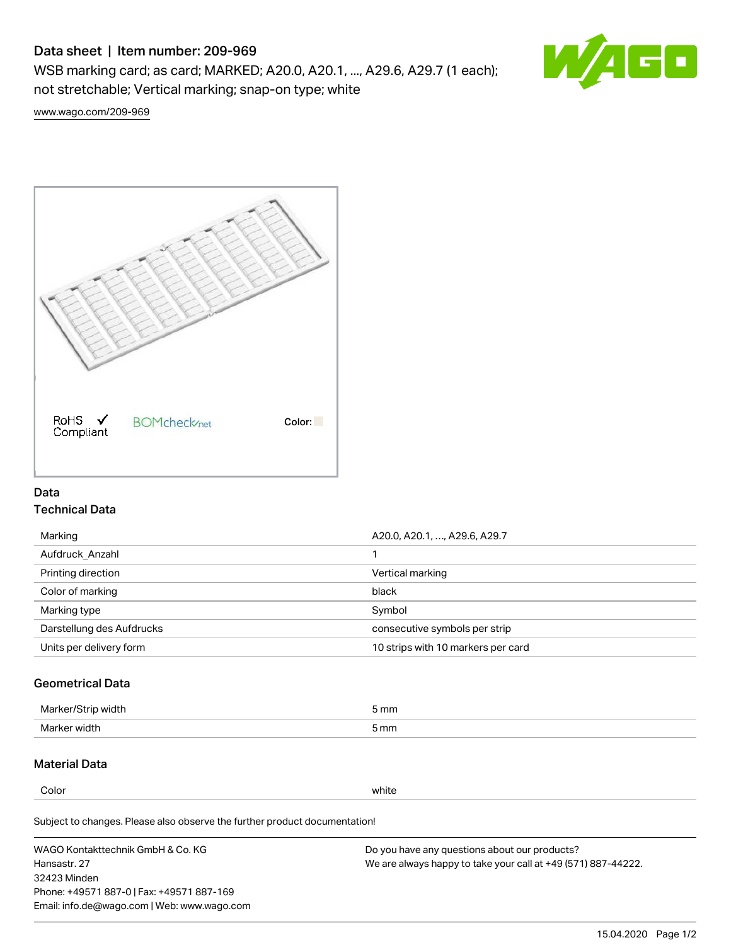# Data sheet | Item number: 209-969

WSB marking card; as card; MARKED; A20.0, A20.1, ..., A29.6, A29.7 (1 each); not stretchable; Vertical marking; snap-on type; white



[www.wago.com/209-969](http://www.wago.com/209-969)



## Data Technical Data

| Marking                   | A20.0, A20.1, , A29.6, A29.7       |
|---------------------------|------------------------------------|
| Aufdruck Anzahl           |                                    |
| Printing direction        | Vertical marking                   |
| Color of marking          | black                              |
| Marking type              | Symbol                             |
| Darstellung des Aufdrucks | consecutive symbols per strip      |
| Units per delivery form   | 10 strips with 10 markers per card |

## Geometrical Data

| طلقاء ئ<br><b>Marker</b><br>widtr | ັກmm |
|-----------------------------------|------|
| Marker width                      | 5 mm |

# Material Data

Color white

Subject to changes. Please also observe the further product documentation!

WAGO Kontakttechnik GmbH & Co. KG Hansastr. 27 32423 Minden Phone: +49571 887-0 | Fax: +49571 887-169 Email: info.de@wago.com | Web: www.wago.com Do you have any questions about our products? We are always happy to take your call at +49 (571) 887-44222.